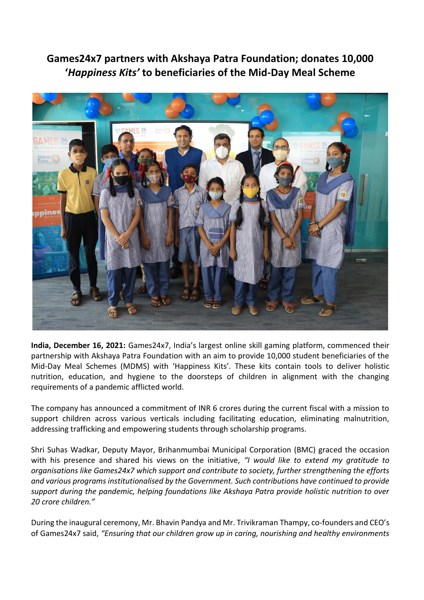**Games24x7 partners with Akshaya Patra Foundation; donates 10,000 '***Happiness Kits'* **to beneficiaries of the Mid-Day Meal Scheme**



**India, December 16, 2021:** Games24x7, India's largest online skill gaming platform, commenced their partnership with Akshaya Patra Foundation with an aim to provide 10,000 student beneficiaries of the Mid-Day Meal Schemes (MDMS) with 'Happiness Kits'. These kits contain tools to deliver holistic nutrition, education, and hygiene to the doorsteps of children in alignment with the changing requirements of a pandemic afflicted world.

The company has announced a commitment of INR 6 crores during the current fiscal with a mission to support children across various verticals including facilitating education, eliminating malnutrition, addressing trafficking and empowering students through scholarship programs.

Shri Suhas Wadkar, Deputy Mayor, Brihanmumbai Municipal Corporation (BMC) graced the occasion with his presence and shared his views on the initiative, *"I would like to extend my gratitude to organisations like Games24x7 which support and contribute to society, further strengthening the efforts and various programs institutionalised by the Government. Such contributions have continued to provide support during the pandemic, helping foundations like Akshaya Patra provide holistic nutrition to over 20 crore children."*

During the inaugural ceremony, Mr. Bhavin Pandya and Mr. Trivikraman Thampy, co-founders and CEO's of Games24x7 said, *"Ensuring that our children grow up in caring, nourishing and healthy environments*